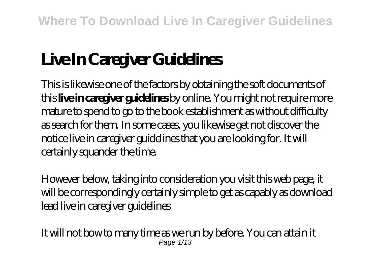# **Live In Caregiver Guidelines**

This is likewise one of the factors by obtaining the soft documents of this **live in caregiver guidelines** by online. You might not require more mature to spend to go to the book establishment as without difficulty as search for them. In some cases, you likewise get not discover the notice live in caregiver guidelines that you are looking for. It will certainly squander the time.

However below, taking into consideration you visit this web page, it will be correspondingly certainly simple to get as capably as download lead live in caregiver guidelines

It will not bow to many time as we run by before. You can attain it Page  $1/13$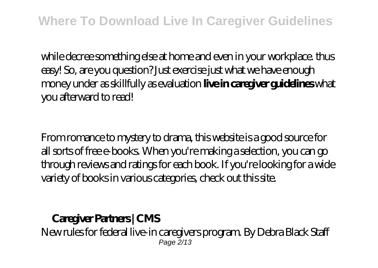while decree something else at home and even in your workplace. thus easy! So, are you question? Just exercise just what we have enough money under as skillfully as evaluation **live in caregiver guidelines** what you afterward to read!

From romance to mystery to drama, this website is a good source for all sorts of free e-books. When you're making a selection, you can go through reviews and ratings for each book. If you're looking for a wide variety of books in various categories, check out this site.

**Caregiver Partners | CMS** New rules for federal live-in caregivers program. By Debra Black Staff Page 2/13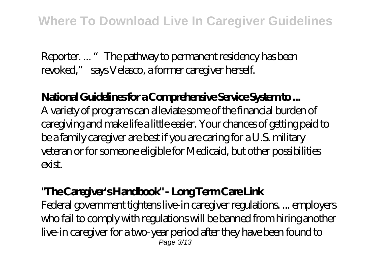Reporter. ... "The pathway to permanent residency has been revoked," says Velasco, a former caregiver herself.

## **National Guidelines for a Comprehensive Service System to ...** A variety of programs can alleviate some of the financial burden of caregiving and make life a little easier. Your chances of getting paid to be a family caregiver are best if you are caring for a U.S. military veteran or for someone eligible for Medicaid, but other possibilities exist.

#### **"The Caregiver's Handbook" - Long Term Care Link**

Federal government tightens live-in caregiver regulations. ... employers who fail to comply with regulations will be banned from hiring another live-in caregiver for a two-year period after they have been found to Page 3/13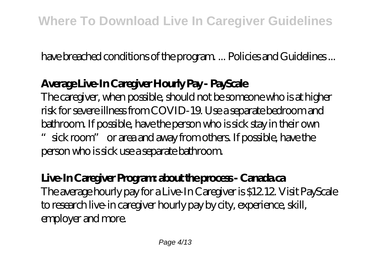have breached conditions of the program. ... Policies and Guidelines ...

## **Average Live-In Caregiver Hourly Pay - PayScale**

The caregiver, when possible, should not be someone who is at higher risk for severe illness from COVID-19. Use a separate bedroom and bathroom. If possible, have the person who is sick stay in their own "sick room" or area and away from others. If possible, have the person who is sick use a separate bathroom.

## **Live-In Caregiver Program: about the process - Canada.ca** The average hourly pay for a Live-In Caregiver is \$12.12. Visit PayScale to research live-in caregiver hourly pay by city, experience, skill, employer and more.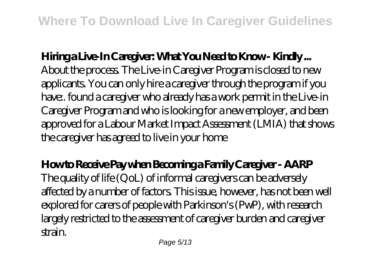## **Hiring a Live-In Caregiver: What You Need to Know - Kindly ...** About the process. The Live-in Caregiver Program is closed to new applicants. You can only hire a caregiver through the program if you have:. found a caregiver who already has a work permit in the Live-in Caregiver Program and who is looking for a new employer, and been approved for a Labour Market Impact Assessment (LMIA) that shows the caregiver has agreed to live in your home

**How to Receive Pay when Becoming a Family Caregiver - AARP** The quality of life (QoL) of informal caregivers can be adversely affected by a number of factors. This issue, however, has not been well explored for carers of people with Parkinson's (PwP), with research largely restricted to the assessment of caregiver burden and caregiver strain.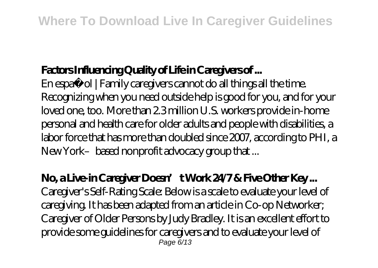# **Factors Influencing Quality of Life in Caregivers of ...**

En español | Family caregivers cannot do all things all the time. Recognizing when you need outside help is good for you, and for your loved one, too. More than 2.3 million U.S. workers provide in-home personal and health care for older adults and people with disabilities, a labor force that has more than doubled since 2007, according to PHI, a New York–based nonprofit advocacy group that ...

#### No, a Live-in Caregiver Doesn't Work 24/7 & Five Other Key ...

Caregiver's Self-Rating Scale: Below is a scale to evaluate your level of caregiving. It has been adapted from an article in Co-op Networker; Caregiver of Older Persons by Judy Bradley. It is an excellent effort to provide some guidelines for caregivers and to evaluate your level of Page  $6/13$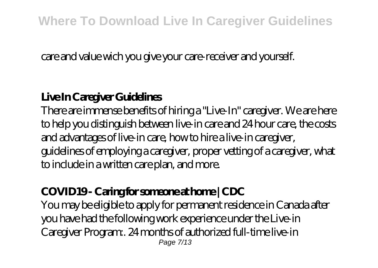care and value wich you give your care-receiver and yourself.

#### **Live In Caregiver Guidelines**

There are immense benefits of hiring a "Live-In" caregiver. We are here to help you distinguish between live-in care and 24 hour care, the costs and advantages of live-in care, how to hire a live-in caregiver, guidelines of employing a caregiver, proper vetting of a caregiver, what to include in a written care plan, and more.

#### **COVID19 - Caring for someone at home | CDC**

You may be eligible to apply for permanent residence in Canada after you have had the following work experience under the Live-in Caregiver Program:. 24 months of authorized full-time live-in Page 7/13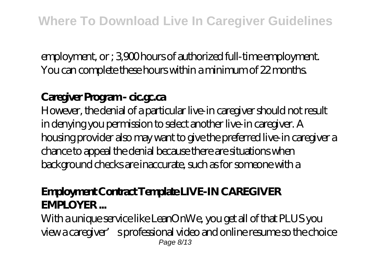employment, or ; 3,900 hours of authorized full-time employment. You can complete these hours within a minimum of 22 months.

## **Caregiver Program - cic.gc.ca**

However, the denial of a particular live-in caregiver should not result in denying you permission to select another live-in caregiver. A housing provider also may want to give the preferred live-in caregiver a chance to appeal the denial because there are situations when background checks are inaccurate, such as for someone with a

#### **Employment Contract Template LIVE-IN CAREGIVER EMPLOYER ...**

With a unique service like LeanOnWe, you get all of that PLUS you view a caregiver's professional video and online resume so the choice Page 8/13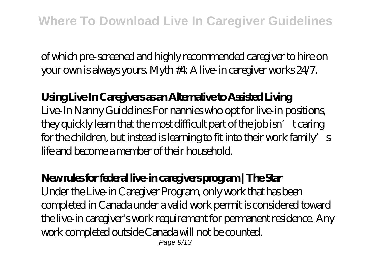of which pre-screened and highly recommended caregiver to hire on your own is always yours. Myth #4: A live-in caregiver works 24/7.

**Using Live In Caregivers as an Alternative to Assisted Living** Live-In Nanny Guidelines For nannies who opt for live-in positions, they quickly learn that the most difficult part of the job isn't caring for the children, but instead is learning to fit into their work family's life and become a member of their household.

## **New rules for federal live-in caregivers program | The Star**

Under the Live-in Caregiver Program, only work that has been completed in Canada under a valid work permit is considered toward the live-in caregiver's work requirement for permanent residence. Any work completed outside Canada will not be counted. Page  $9/13$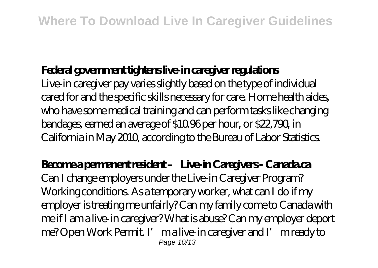## **Federal government tightens live-in caregiver regulations**

Live-in caregiver pay varies slightly based on the type of individual cared for and the specific skills necessary for care. Home health aides, who have some medical training and can perform tasks like changing bandages, earned an average of \$10.96 per hour, or \$22,790, in California in May 2010, according to the Bureau of Labor Statistics.

## Become a permanent resident – Live-in Caregivers - Canada ca

Can I change employers under the Live-in Caregiver Program? Working conditions. As a temporary worker, what can I do if my employer is treating me unfairly? Can my family come to Canada with me if I am a live-in caregiver? What is abuse? Can my employer deport me? Open Work Permit. I' ma live-in caregiver and I' m ready to Page 10/13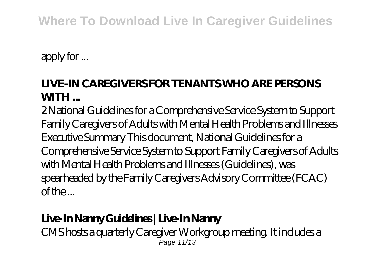# **Where To Download Live In Caregiver Guidelines**

apply for ...

## **LIVE-IN CAREGIVERS FOR TENANTS WHO ARE PERSONS WITH ...**

2 National Guidelines for a Comprehensive Service System to Support Family Caregivers of Adults with Mental Health Problems and Illnesses Executive Summary This document, National Guidelines for a Comprehensive Service System to Support Family Caregivers of Adults with Mental Health Problems and Illnesses (Guidelines), was spearheaded by the Family Caregivers Advisory Committee (FCAC) of the ...

# **Live-In Nanny Guidelines | Live-In Nanny**

CMS hosts a quarterly Caregiver Workgroup meeting. It includes a Page 11/13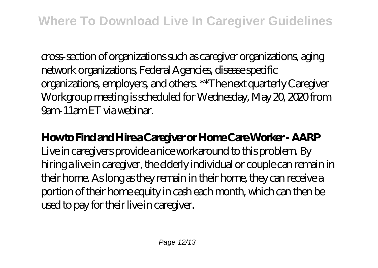cross-section of organizations such as caregiver organizations, aging network organizations, Federal Agencies, disease specific organizations, employers, and others. \*\*The next quarterly Caregiver Workgroup meeting is scheduled for Wednesday, May 20, 2020 from 9am-11am ET via webinar.

## **How to Find and Hire a Caregiver or Home Care Worker - AARP** Live in caregivers provide a nice workaround to this problem. By hiring a live in caregiver, the elderly individual or couple can remain in their home. As long as they remain in their home, they can receive a portion of their home equity in cash each month, which can then be used to pay for their live in caregiver.